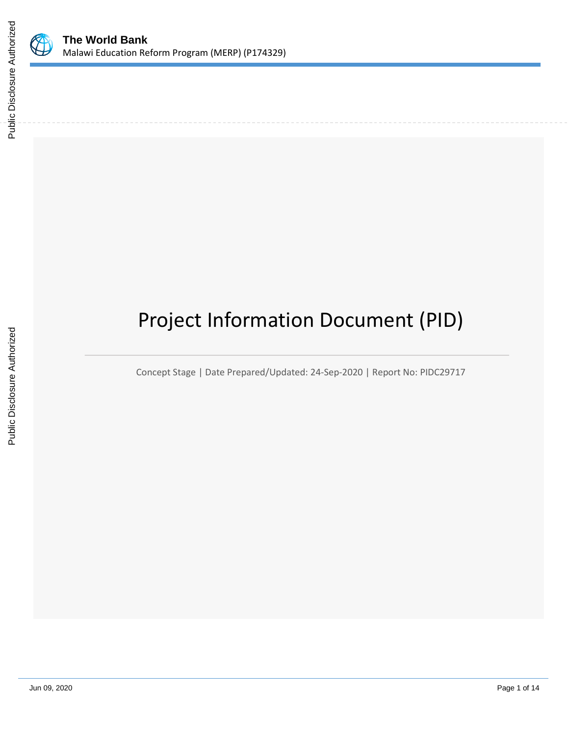

# Project Information Document (PID)

Concept Stage | Date Prepared/Updated: 24-Sep-2020 | Report No: PIDC29717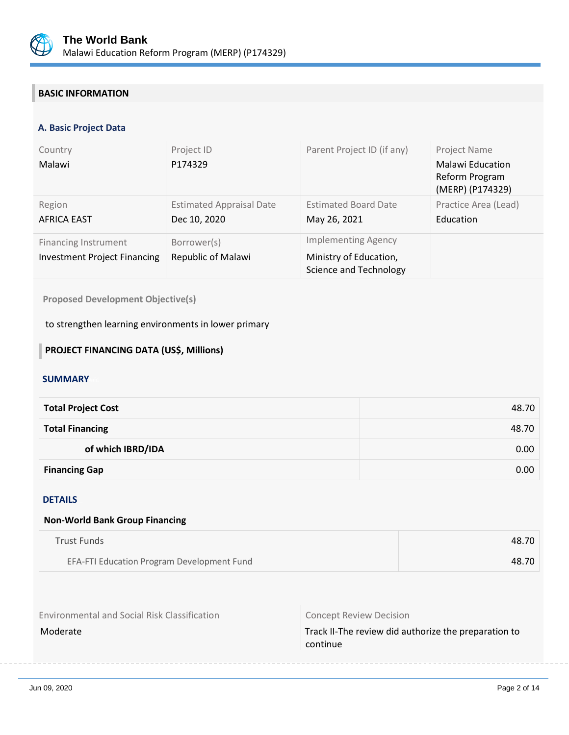

# **BASIC INFORMATION**

# **A. Basic Project Data**

| Country<br>Malawi                                                  | Project ID<br>P174329                           | Parent Project ID (if any)                                                     | Project Name<br><b>Malawi Education</b><br>Reform Program<br>(MERP) (P174329) |
|--------------------------------------------------------------------|-------------------------------------------------|--------------------------------------------------------------------------------|-------------------------------------------------------------------------------|
| Region<br><b>AFRICA EAST</b>                                       | <b>Estimated Appraisal Date</b><br>Dec 10, 2020 | <b>Estimated Board Date</b><br>May 26, 2021                                    | Practice Area (Lead)<br>Education                                             |
| <b>Financing Instrument</b><br><b>Investment Project Financing</b> | Borrower(s)<br>Republic of Malawi               | <b>Implementing Agency</b><br>Ministry of Education,<br>Science and Technology |                                                                               |

**Proposed Development Objective(s)** 

to strengthen learning environments in lower primary

# **PROJECT FINANCING DATA (US\$, Millions)**

# **SUMMARY**

| <b>Total Project Cost</b> | 48.70 |
|---------------------------|-------|
| <b>Total Financing</b>    | 48.70 |
| of which IBRD/IDA         | 0.00  |
| <b>Financing Gap</b>      | 0.00  |

#### DETAILS

#### **Non-World Bank Group Financing**

| Trust Funds                                | 48.70 |
|--------------------------------------------|-------|
| EFA-FTI Education Program Development Fund | 48.70 |

Environmental and Social Risk Classification **Concept Review Decision** 

Moderate Moderate Track II-The review did authorize the preparation to continue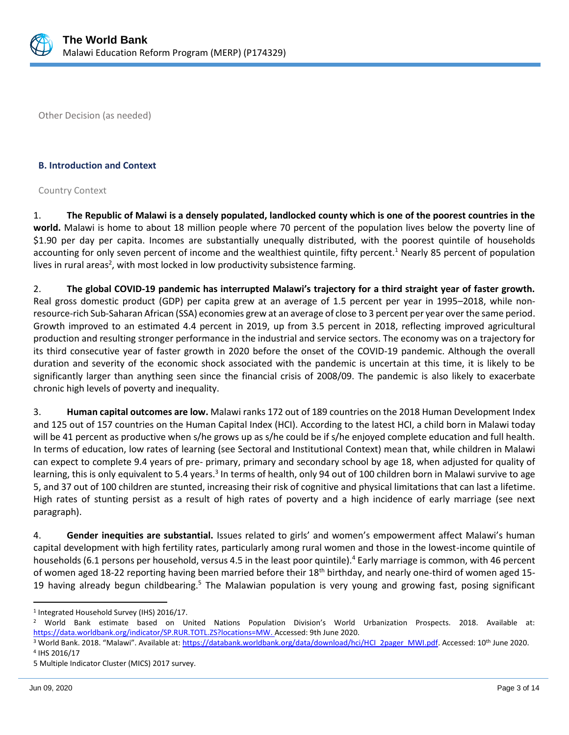

Other Decision (as needed)

#### **B. Introduction and Context**

#### Country Context

1. **The Republic of Malawi is a densely populated, landlocked county which is one of the poorest countries in the world.** Malawi is home to about 18 million people where 70 percent of the population lives below the poverty line of \$1.90 per day per capita. Incomes are substantially unequally distributed, with the poorest quintile of households accounting for only seven percent of income and the wealthiest quintile, fifty percent.<sup>1</sup> Nearly 85 percent of population lives in rural areas<sup>2</sup>, with most locked in low productivity subsistence farming.

2. **The global COVID-19 pandemic has interrupted Malawi's trajectory for a third straight year of faster growth.**  Real gross domestic product (GDP) per capita grew at an average of 1.5 percent per year in 1995–2018, while nonresource-rich Sub-Saharan African (SSA) economies grew at an average of close to 3 percent per year over the same period. Growth improved to an estimated 4.4 percent in 2019, up from 3.5 percent in 2018, reflecting improved agricultural production and resulting stronger performance in the industrial and service sectors. The economy was on a trajectory for its third consecutive year of faster growth in 2020 before the onset of the COVID-19 pandemic. Although the overall duration and severity of the economic shock associated with the pandemic is uncertain at this time, it is likely to be significantly larger than anything seen since the financial crisis of 2008/09. The pandemic is also likely to exacerbate chronic high levels of poverty and inequality.

3. **Human capital outcomes are low.** Malawi ranks 172 out of 189 countries on the 2018 Human Development Index and 125 out of 157 countries on the Human Capital Index (HCI). According to the latest HCI, a child born in Malawi today will be 41 percent as productive when s/he grows up as s/he could be if s/he enjoyed complete education and full health. In terms of education, low rates of learning (see Sectoral and Institutional Context) mean that, while children in Malawi can expect to complete 9.4 years of pre- primary, primary and secondary school by age 18, when adjusted for quality of learning, this is only equivalent to 5.4 years.<sup>3</sup> In terms of health, only 94 out of 100 children born in Malawi survive to age 5, and 37 out of 100 children are stunted, increasing their risk of cognitive and physical limitations that can last a lifetime. High rates of stunting persist as a result of high rates of poverty and a high incidence of early marriage (see next paragraph).

4. **Gender inequities are substantial.** Issues related to girls' and women's empowerment affect Malawi's human capital development with high fertility rates, particularly among rural women and those in the lowest-income quintile of households (6.1 persons per household, versus 4.5 in the least poor quintile).<sup>4</sup> Early marriage is common, with 46 percent of women aged 18-22 reporting having been married before their 18<sup>th</sup> birthday, and nearly one-third of women aged 15-19 having already begun childbearing.<sup>5</sup> The Malawian population is very young and growing fast, posing significant

<sup>1</sup> Integrated Household Survey (IHS) 2016/17.

<sup>2</sup> World Bank estimate based on United Nations Population Division's World Urbanization Prospects. 2018. Available at: [https://data.worldbank.org/indicator/SP.RUR.TOTL.ZS?locations=MW.](https://data.worldbank.org/indicator/SP.RUR.TOTL.ZS?locations=MW) Accessed: 9th June 2020.

<sup>&</sup>lt;sup>3</sup> World Bank. 2018. "Malawi". Available at: [https://databank.worldbank.org/data/download/hci/HCI\\_2pager\\_MWI.pdf.](https://databank.worldbank.org/data/download/hci/HCI_2pager_MWI.pdf) Accessed: 10<sup>th</sup> June 2020. 4 IHS 2016/17

<sup>5</sup> Multiple Indicator Cluster (MICS) 2017 survey.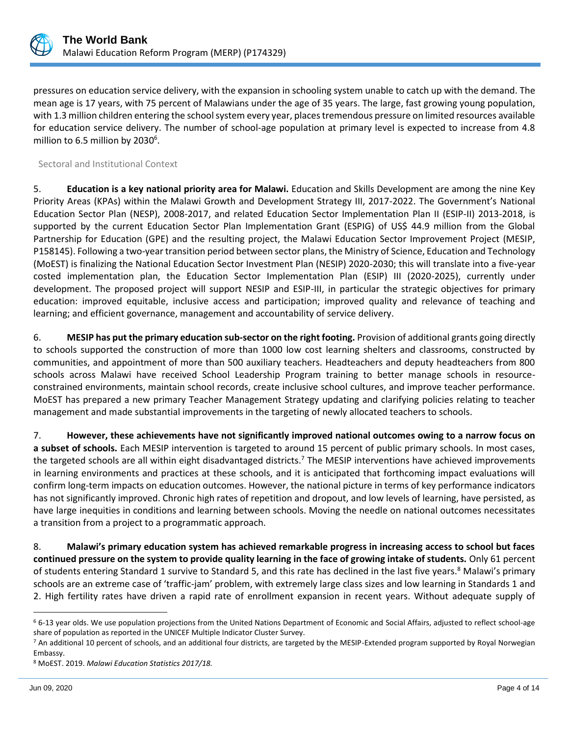

pressures on education service delivery, with the expansion in schooling system unable to catch up with the demand. The mean age is 17 years, with 75 percent of Malawians under the age of 35 years. The large, fast growing young population, with 1.3 million children entering the school system every year, places tremendous pressure on limited resources available for education service delivery. The number of school-age population at primary level is expected to increase from 4.8 million to 6.5 million by 2030<sup>6</sup>.

Sectoral and Institutional Context

5. **Education is a key national priority area for Malawi.** Education and Skills Development are among the nine Key Priority Areas (KPAs) within the Malawi Growth and Development Strategy III, 2017-2022. The Government's National Education Sector Plan (NESP), 2008-2017, and related Education Sector Implementation Plan II (ESIP-II) 2013-2018, is supported by the current Education Sector Plan Implementation Grant (ESPIG) of US\$ 44.9 million from the Global Partnership for Education (GPE) and the resulting project, the Malawi Education Sector Improvement Project (MESIP, P158145). Following a two-year transition period between sector plans, the Ministry of Science, Education and Technology (MoEST) is finalizing the National Education Sector Investment Plan (NESIP) 2020-2030; this will translate into a five-year costed implementation plan, the Education Sector Implementation Plan (ESIP) III (2020-2025), currently under development. The proposed project will support NESIP and ESIP-III, in particular the strategic objectives for primary education: improved equitable, inclusive access and participation; improved quality and relevance of teaching and learning; and efficient governance, management and accountability of service delivery.

6. **MESIP has put the primary education sub-sector on the right footing.** Provision of additional grants going directly to schools supported the construction of more than 1000 low cost learning shelters and classrooms, constructed by communities, and appointment of more than 500 auxiliary teachers. Headteachers and deputy headteachers from 800 schools across Malawi have received School Leadership Program training to better manage schools in resourceconstrained environments, maintain school records, create inclusive school cultures, and improve teacher performance. MoEST has prepared a new primary Teacher Management Strategy updating and clarifying policies relating to teacher management and made substantial improvements in the targeting of newly allocated teachers to schools.

7. **However, these achievements have not significantly improved national outcomes owing to a narrow focus on a subset of schools.** Each MESIP intervention is targeted to around 15 percent of public primary schools. In most cases, the targeted schools are all within eight disadvantaged districts.<sup>7</sup> The MESIP interventions have achieved improvements in learning environments and practices at these schools, and it is anticipated that forthcoming impact evaluations will confirm long-term impacts on education outcomes. However, the national picture in terms of key performance indicators has not significantly improved. Chronic high rates of repetition and dropout, and low levels of learning, have persisted, as have large inequities in conditions and learning between schools. Moving the needle on national outcomes necessitates a transition from a project to a programmatic approach.

8. **Malawi's primary education system has achieved remarkable progress in increasing access to school but faces continued pressure on the system to provide quality learning in the face of growing intake of students.** Only 61 percent of students entering Standard 1 survive to Standard 5, and this rate has declined in the last five years.<sup>8</sup> Malawi's primary schools are an extreme case of 'traffic-jam' problem, with extremely large class sizes and low learning in Standards 1 and 2. High fertility rates have driven a rapid rate of enrollment expansion in recent years. Without adequate supply of

 $6$  6-13 year olds. We use population projections from the United Nations Department of Economic and Social Affairs, adjusted to reflect school-age share of population as reported in the UNICEF Multiple Indicator Cluster Survey.

<sup>7</sup> An additional 10 percent of schools, and an additional four districts, are targeted by the MESIP-Extended program supported by Royal Norwegian Embassy.

<sup>8</sup> MoEST. 2019. *Malawi Education Statistics 2017/18.*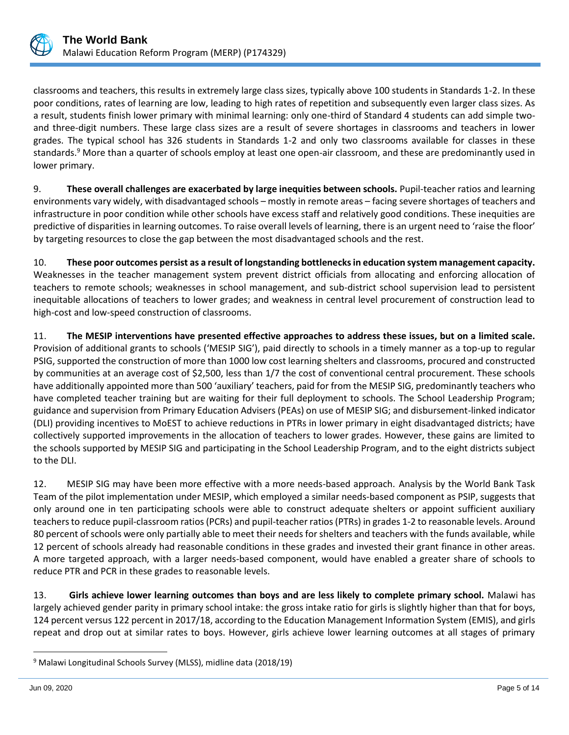

classrooms and teachers, this results in extremely large class sizes, typically above 100 students in Standards 1-2. In these poor conditions, rates of learning are low, leading to high rates of repetition and subsequently even larger class sizes. As a result, students finish lower primary with minimal learning: only one-third of Standard 4 students can add simple twoand three-digit numbers. These large class sizes are a result of severe shortages in classrooms and teachers in lower grades. The typical school has 326 students in Standards 1-2 and only two classrooms available for classes in these standards.<sup>9</sup> More than a quarter of schools employ at least one open-air classroom, and these are predominantly used in lower primary.

9. **These overall challenges are exacerbated by large inequities between schools.** Pupil-teacher ratios and learning environments vary widely, with disadvantaged schools – mostly in remote areas – facing severe shortages of teachers and infrastructure in poor condition while other schools have excess staff and relatively good conditions. These inequities are predictive of disparities in learning outcomes. To raise overall levels of learning, there is an urgent need to 'raise the floor' by targeting resources to close the gap between the most disadvantaged schools and the rest.

10. **These poor outcomes persist as a result of longstanding bottlenecks in education system management capacity.**  Weaknesses in the teacher management system prevent district officials from allocating and enforcing allocation of teachers to remote schools; weaknesses in school management, and sub-district school supervision lead to persistent inequitable allocations of teachers to lower grades; and weakness in central level procurement of construction lead to high-cost and low-speed construction of classrooms.

11. **The MESIP interventions have presented effective approaches to address these issues, but on a limited scale.**  Provision of additional grants to schools ('MESIP SIG'), paid directly to schools in a timely manner as a top-up to regular PSIG, supported the construction of more than 1000 low cost learning shelters and classrooms, procured and constructed by communities at an average cost of \$2,500, less than 1/7 the cost of conventional central procurement. These schools have additionally appointed more than 500 'auxiliary' teachers, paid for from the MESIP SIG, predominantly teachers who have completed teacher training but are waiting for their full deployment to schools. The School Leadership Program; guidance and supervision from Primary Education Advisers (PEAs) on use of MESIP SIG; and disbursement-linked indicator (DLI) providing incentives to MoEST to achieve reductions in PTRs in lower primary in eight disadvantaged districts; have collectively supported improvements in the allocation of teachers to lower grades. However, these gains are limited to the schools supported by MESIP SIG and participating in the School Leadership Program, and to the eight districts subject to the DLI.

12. MESIP SIG may have been more effective with a more needs-based approach. Analysis by the World Bank Task Team of the pilot implementation under MESIP, which employed a similar needs-based component as PSIP, suggests that only around one in ten participating schools were able to construct adequate shelters or appoint sufficient auxiliary teachers to reduce pupil-classroom ratios (PCRs) and pupil-teacher ratios (PTRs) in grades 1-2 to reasonable levels. Around 80 percent of schools were only partially able to meet their needs for shelters and teachers with the funds available, while 12 percent of schools already had reasonable conditions in these grades and invested their grant finance in other areas. A more targeted approach, with a larger needs-based component, would have enabled a greater share of schools to reduce PTR and PCR in these grades to reasonable levels.

13. **Girls achieve lower learning outcomes than boys and are less likely to complete primary school.** Malawi has largely achieved gender parity in primary school intake: the gross intake ratio for girls is slightly higher than that for boys, 124 percent versus 122 percent in 2017/18, according to the Education Management Information System (EMIS), and girls repeat and drop out at similar rates to boys. However, girls achieve lower learning outcomes at all stages of primary

<sup>&</sup>lt;sup>9</sup> Malawi Longitudinal Schools Survey (MLSS), midline data (2018/19)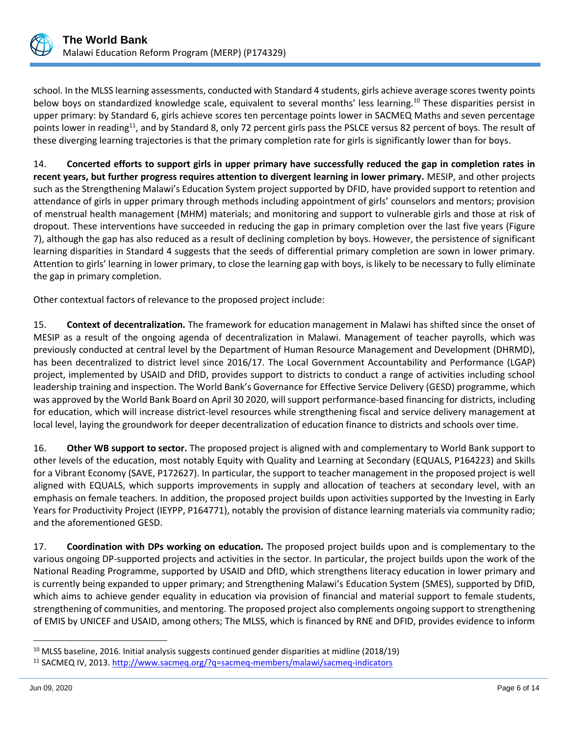

school. In the MLSS learning assessments, conducted with Standard 4 students, girls achieve average scores twenty points below boys on standardized knowledge scale, equivalent to several months' less learning.<sup>10</sup> These disparities persist in upper primary: by Standard 6, girls achieve scores ten percentage points lower in SACMEQ Maths and seven percentage points lower in reading<sup>11</sup>, and by Standard 8, only 72 percent girls pass the PSLCE versus 82 percent of boys. The result of these diverging learning trajectories is that the primary completion rate for girls is significantly lower than for boys.

14. **Concerted efforts to support girls in upper primary have successfully reduced the gap in completion rates in recent years, but further progress requires attention to divergent learning in lower primary.** MESIP, and other projects such as the Strengthening Malawi's Education System project supported by DFID, have provided support to retention and attendance of girls in upper primary through methods including appointment of girls' counselors and mentors; provision of menstrual health management (MHM) materials; and monitoring and support to vulnerable girls and those at risk of dropout. These interventions have succeeded in reducing the gap in primary completion over the last five years (Figure 7), although the gap has also reduced as a result of declining completion by boys. However, the persistence of significant learning disparities in Standard 4 suggests that the seeds of differential primary completion are sown in lower primary. Attention to girls' learning in lower primary, to close the learning gap with boys, is likely to be necessary to fully eliminate the gap in primary completion.

Other contextual factors of relevance to the proposed project include:

15. **Context of decentralization.** The framework for education management in Malawi has shifted since the onset of MESIP as a result of the ongoing agenda of decentralization in Malawi. Management of teacher payrolls, which was previously conducted at central level by the Department of Human Resource Management and Development (DHRMD), has been decentralized to district level since 2016/17. The Local Government Accountability and Performance (LGAP) project, implemented by USAID and DfID, provides support to districts to conduct a range of activities including school leadership training and inspection. The World Bank's Governance for Effective Service Delivery (GESD) programme, which was approved by the World Bank Board on April 30 2020, will support performance-based financing for districts, including for education, which will increase district-level resources while strengthening fiscal and service delivery management at local level, laying the groundwork for deeper decentralization of education finance to districts and schools over time.

16. **Other WB support to sector.** The proposed project is aligned with and complementary to World Bank support to other levels of the education, most notably Equity with Quality and Learning at Secondary (EQUALS, P164223) and Skills for a Vibrant Economy (SAVE, P172627). In particular, the support to teacher management in the proposed project is well aligned with EQUALS, which supports improvements in supply and allocation of teachers at secondary level, with an emphasis on female teachers. In addition, the proposed project builds upon activities supported by the Investing in Early Years for Productivity Project (IEYPP, P164771), notably the provision of distance learning materials via community radio; and the aforementioned GESD.

17. **Coordination with DPs working on education.** The proposed project builds upon and is complementary to the various ongoing DP-supported projects and activities in the sector. In particular, the project builds upon the work of the National Reading Programme, supported by USAID and DfID, which strengthens literacy education in lower primary and is currently being expanded to upper primary; and Strengthening Malawi's Education System (SMES), supported by DfID, which aims to achieve gender equality in education via provision of financial and material support to female students, strengthening of communities, and mentoring. The proposed project also complements ongoing support to strengthening of EMIS by UNICEF and USAID, among others; The MLSS, which is financed by RNE and DFID, provides evidence to inform

 $10$  MLSS baseline, 2016. Initial analysis suggests continued gender disparities at midline (2018/19)

<sup>&</sup>lt;sup>11</sup> SACMEQ IV, 2013.<http://www.sacmeq.org/?q=sacmeq-members/malawi/sacmeq-indicators>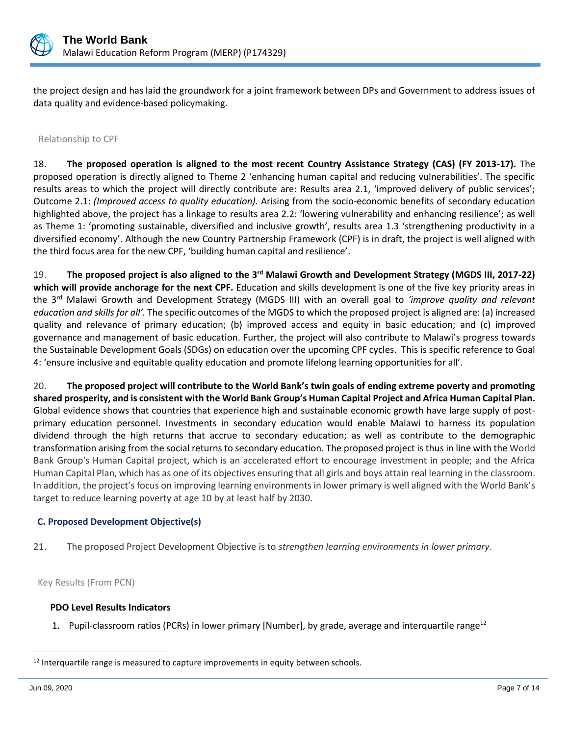

the project design and has laid the groundwork for a joint framework between DPs and Government to address issues of data quality and evidence-based policymaking.

#### Relationship to CPF

18. **The proposed operation is aligned to the most recent Country Assistance Strategy (CAS) (FY 2013-17).** The proposed operation is directly aligned to Theme 2 'enhancing human capital and reducing vulnerabilities'. The specific results areas to which the project will directly contribute are: Results area 2.1, 'improved delivery of public services'; Outcome 2.1: *(Improved access to quality education).* Arising from the socio-economic benefits of secondary education highlighted above, the project has a linkage to results area 2.2: 'lowering vulnerability and enhancing resilience'; as well as Theme 1: 'promoting sustainable, diversified and inclusive growth', results area 1.3 'strengthening productivity in a diversified economy'. Although the new Country Partnership Framework (CPF) is in draft, the project is well aligned with the third focus area for the new CPF, 'building human capital and resilience'.

19. The proposed project is also aligned to the 3<sup>rd</sup> Malawi Growth and Development Strategy (MGDS III, 2017-22) **which will provide anchorage for the next CPF.** Education and skills development is one of the five key priority areas in the 3rd Malawi Growth and Development Strategy (MGDS III) with an overall goal to *'improve quality and relevant education and skills for all'.* The specific outcomes of the MGDS to which the proposed project is aligned are: (a) increased quality and relevance of primary education; (b) improved access and equity in basic education; and (c) improved governance and management of basic education. Further, the project will also contribute to Malawi's progress towards the Sustainable Development Goals (SDGs) on education over the upcoming CPF cycles. This is specific reference to Goal 4: 'ensure inclusive and equitable quality education and promote lifelong learning opportunities for all'.

20. **The proposed project will contribute to the World Bank's twin goals of ending extreme poverty and promoting shared prosperity, and is consistent with the World Bank Group's Human Capital Project and Africa Human Capital Plan.** Global evidence shows that countries that experience high and sustainable economic growth have large supply of postprimary education personnel. Investments in secondary education would enable Malawi to harness its population dividend through the high returns that accrue to secondary education; as well as contribute to the demographic transformation arising from the social returns to secondary education. The proposed project is thus in line with the World Bank Group's Human Capital project, which is an accelerated effort to encourage investment in people; and the Africa Human Capital Plan, which has as one of its objectives ensuring that all girls and boys attain real learning in the classroom. In addition, the project's focus on improving learning environments in lower primary is well aligned with the World Bank's target to reduce learning poverty at age 10 by at least half by 2030.

### **C. Proposed Development Objective(s)**

21. The proposed Project Development Objective is to *strengthen learning environments in lower primary.*

Key Results (From PCN)

### **PDO Level Results Indicators**

1. Pupil-classroom ratios (PCRs) in lower primary [Number], by grade, average and interquartile range<sup>12</sup>

 $12$  Interquartile range is measured to capture improvements in equity between schools.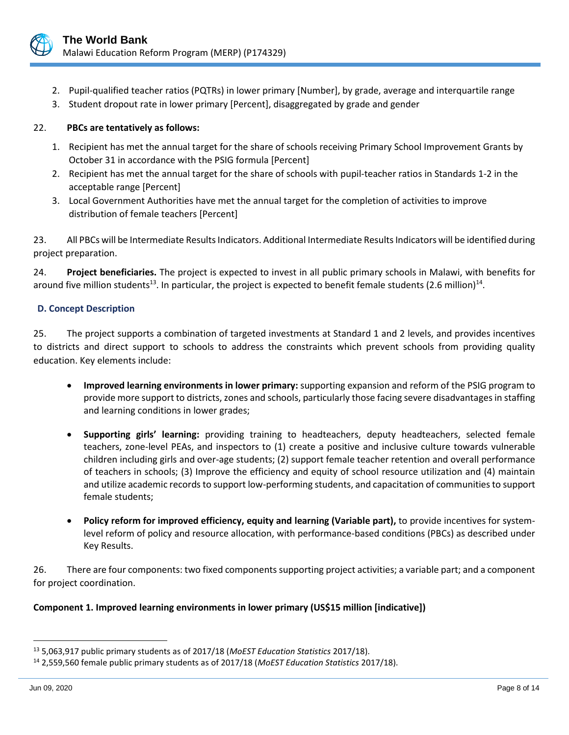

- 2. Pupil-qualified teacher ratios (PQTRs) in lower primary [Number], by grade, average and interquartile range
- 3. Student dropout rate in lower primary [Percent], disaggregated by grade and gender

# 22. **PBCs are tentatively as follows:**

- 1. Recipient has met the annual target for the share of schools receiving Primary School Improvement Grants by October 31 in accordance with the PSIG formula [Percent]
- 2. Recipient has met the annual target for the share of schools with pupil-teacher ratios in Standards 1-2 in the acceptable range [Percent]
- 3. Local Government Authorities have met the annual target for the completion of activities to improve distribution of female teachers [Percent]

23. All PBCs will be Intermediate Results Indicators. Additional Intermediate Results Indicators will be identified during project preparation.

24. **Project beneficiaries.** The project is expected to invest in all public primary schools in Malawi, with benefits for around five million students<sup>13</sup>. In particular, the project is expected to benefit female students (2.6 million)<sup>14</sup>.

# **D. Concept Description**

25. The project supports a combination of targeted investments at Standard 1 and 2 levels, and provides incentives to districts and direct support to schools to address the constraints which prevent schools from providing quality education. Key elements include:

- **Improved learning environments in lower primary:** supporting expansion and reform of the PSIG program to provide more support to districts, zones and schools, particularly those facing severe disadvantages in staffing and learning conditions in lower grades;
- **Supporting girls' learning:** providing training to headteachers, deputy headteachers, selected female teachers, zone-level PEAs, and inspectors to (1) create a positive and inclusive culture towards vulnerable children including girls and over-age students; (2) support female teacher retention and overall performance of teachers in schools; (3) Improve the efficiency and equity of school resource utilization and (4) maintain and utilize academic records to support low-performing students, and capacitation of communities to support female students;
- **Policy reform for improved efficiency, equity and learning (Variable part),** to provide incentives for systemlevel reform of policy and resource allocation, with performance-based conditions (PBCs) as described under Key Results.

26. There are four components: two fixed components supporting project activities; a variable part; and a component for project coordination.

# **Component 1. Improved learning environments in lower primary (US\$15 million [indicative])**

<sup>13</sup> 5,063,917 public primary students as of 2017/18 (*MoEST Education Statistics* 2017/18).

<sup>14</sup> 2,559,560 female public primary students as of 2017/18 (*MoEST Education Statistics* 2017/18).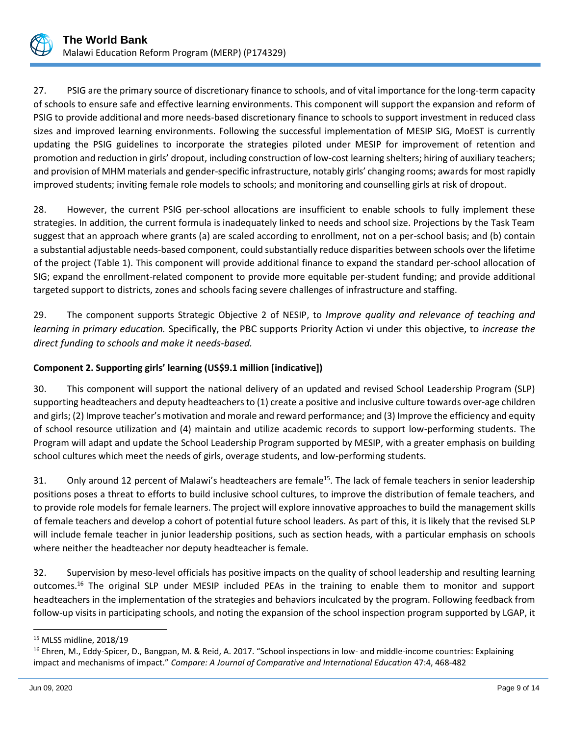

27. PSIG are the primary source of discretionary finance to schools, and of vital importance for the long-term capacity of schools to ensure safe and effective learning environments. This component will support the expansion and reform of PSIG to provide additional and more needs-based discretionary finance to schools to support investment in reduced class sizes and improved learning environments. Following the successful implementation of MESIP SIG, MoEST is currently updating the PSIG guidelines to incorporate the strategies piloted under MESIP for improvement of retention and promotion and reduction in girls' dropout, including construction of low-cost learning shelters; hiring of auxiliary teachers; and provision of MHM materials and gender-specific infrastructure, notably girls' changing rooms; awards for most rapidly improved students; inviting female role models to schools; and monitoring and counselling girls at risk of dropout.

28. However, the current PSIG per-school allocations are insufficient to enable schools to fully implement these strategies. In addition, the current formula is inadequately linked to needs and school size. Projections by the Task Team suggest that an approach where grants (a) are scaled according to enrollment, not on a per-school basis; and (b) contain a substantial adjustable needs-based component, could substantially reduce disparities between schools over the lifetime of the project (Table 1). This component will provide additional finance to expand the standard per-school allocation of SIG; expand the enrollment-related component to provide more equitable per-student funding; and provide additional targeted support to districts, zones and schools facing severe challenges of infrastructure and staffing.

29. The component supports Strategic Objective 2 of NESIP, to *Improve quality and relevance of teaching and learning in primary education.* Specifically, the PBC supports Priority Action vi under this objective, to *increase the direct funding to schools and make it needs-based.*

# **Component 2. Supporting girls' learning (US\$9.1 million [indicative])**

30. This component will support the national delivery of an updated and revised School Leadership Program (SLP) supporting headteachers and deputy headteachers to (1) create a positive and inclusive culture towards over-age children and girls; (2) Improve teacher's motivation and morale and reward performance; and (3) Improve the efficiency and equity of school resource utilization and (4) maintain and utilize academic records to support low-performing students. The Program will adapt and update the School Leadership Program supported by MESIP, with a greater emphasis on building school cultures which meet the needs of girls, overage students, and low-performing students.

31. Only around 12 percent of Malawi's headteachers are female<sup>15</sup>. The lack of female teachers in senior leadership positions poses a threat to efforts to build inclusive school cultures, to improve the distribution of female teachers, and to provide role models for female learners. The project will explore innovative approaches to build the management skills of female teachers and develop a cohort of potential future school leaders. As part of this, it is likely that the revised SLP will include female teacher in junior leadership positions, such as section heads, with a particular emphasis on schools where neither the headteacher nor deputy headteacher is female.

32. Supervision by meso-level officials has positive impacts on the quality of school leadership and resulting learning outcomes.<sup>16</sup> The original SLP under MESIP included PEAs in the training to enable them to monitor and support headteachers in the implementation of the strategies and behaviors inculcated by the program. Following feedback from follow-up visits in participating schools, and noting the expansion of the school inspection program supported by LGAP, it

<sup>15</sup> MLSS midline, 2018/19

<sup>&</sup>lt;sup>16</sup> Ehren, M., Eddy-Spicer, D., Bangpan, M. & Reid, A. 2017. "School inspections in low- and middle-income countries: Explaining impact and mechanisms of impact." *Compare: A Journal of Comparative and International Education* 47:4, 468-482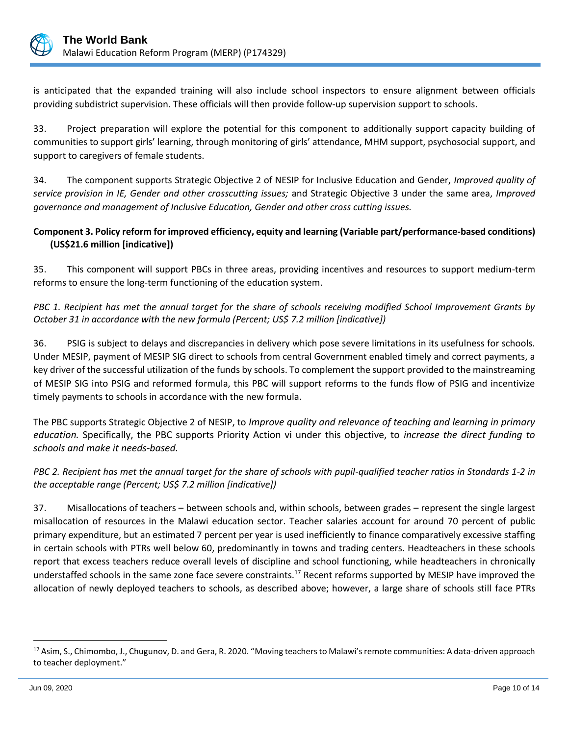

is anticipated that the expanded training will also include school inspectors to ensure alignment between officials providing subdistrict supervision. These officials will then provide follow-up supervision support to schools.

33. Project preparation will explore the potential for this component to additionally support capacity building of communities to support girls' learning, through monitoring of girls' attendance, MHM support, psychosocial support, and support to caregivers of female students.

34. The component supports Strategic Objective 2 of NESIP for Inclusive Education and Gender, *Improved quality of service provision in IE, Gender and other crosscutting issues;* and Strategic Objective 3 under the same area, *Improved governance and management of Inclusive Education, Gender and other cross cutting issues.*

# **Component 3. Policy reform for improved efficiency, equity and learning (Variable part/performance-based conditions) (US\$21.6 million [indicative])**

35. This component will support PBCs in three areas, providing incentives and resources to support medium-term reforms to ensure the long-term functioning of the education system.

# *PBC 1. Recipient has met the annual target for the share of schools receiving modified School Improvement Grants by October 31 in accordance with the new formula (Percent; US\$ 7.2 million [indicative])*

36. PSIG is subject to delays and discrepancies in delivery which pose severe limitations in its usefulness for schools. Under MESIP, payment of MESIP SIG direct to schools from central Government enabled timely and correct payments, a key driver of the successful utilization of the funds by schools. To complement the support provided to the mainstreaming of MESIP SIG into PSIG and reformed formula, this PBC will support reforms to the funds flow of PSIG and incentivize timely payments to schools in accordance with the new formula.

The PBC supports Strategic Objective 2 of NESIP, to *Improve quality and relevance of teaching and learning in primary education.* Specifically, the PBC supports Priority Action vi under this objective, to *increase the direct funding to schools and make it needs-based.*

# *PBC 2. Recipient has met the annual target for the share of schools with pupil-qualified teacher ratios in Standards 1-2 in the acceptable range (Percent; US\$ 7.2 million [indicative])*

37. Misallocations of teachers – between schools and, within schools, between grades – represent the single largest misallocation of resources in the Malawi education sector. Teacher salaries account for around 70 percent of public primary expenditure, but an estimated 7 percent per year is used inefficiently to finance comparatively excessive staffing in certain schools with PTRs well below 60, predominantly in towns and trading centers. Headteachers in these schools report that excess teachers reduce overall levels of discipline and school functioning, while headteachers in chronically understaffed schools in the same zone face severe constraints.<sup>17</sup> Recent reforms supported by MESIP have improved the allocation of newly deployed teachers to schools, as described above; however, a large share of schools still face PTRs

<sup>&</sup>lt;sup>17</sup> Asim, S., Chimombo, J., Chugunov, D. and Gera, R. 2020. "Moving teachers to Malawi's remote communities: A data-driven approach to teacher deployment."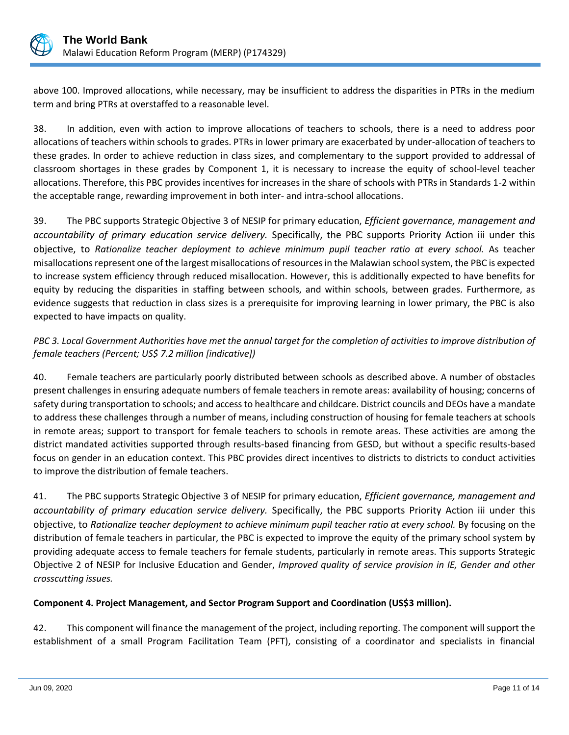

above 100. Improved allocations, while necessary, may be insufficient to address the disparities in PTRs in the medium term and bring PTRs at overstaffed to a reasonable level.

38. In addition, even with action to improve allocations of teachers to schools, there is a need to address poor allocations of teachers within schools to grades. PTRs in lower primary are exacerbated by under-allocation of teachers to these grades. In order to achieve reduction in class sizes, and complementary to the support provided to addressal of classroom shortages in these grades by Component 1, it is necessary to increase the equity of school-level teacher allocations. Therefore, this PBC provides incentives for increases in the share of schools with PTRs in Standards 1-2 within the acceptable range, rewarding improvement in both inter- and intra-school allocations.

39. The PBC supports Strategic Objective 3 of NESIP for primary education, *Efficient governance, management and accountability of primary education service delivery.* Specifically, the PBC supports Priority Action iii under this objective, to *Rationalize teacher deployment to achieve minimum pupil teacher ratio at every school.* As teacher misallocations represent one of the largest misallocations of resources in the Malawian school system, the PBC is expected to increase system efficiency through reduced misallocation. However, this is additionally expected to have benefits for equity by reducing the disparities in staffing between schools, and within schools, between grades. Furthermore, as evidence suggests that reduction in class sizes is a prerequisite for improving learning in lower primary, the PBC is also expected to have impacts on quality.

# *PBC 3. Local Government Authorities have met the annual target for the completion of activities to improve distribution of female teachers (Percent; US\$ 7.2 million [indicative])*

40. Female teachers are particularly poorly distributed between schools as described above. A number of obstacles present challenges in ensuring adequate numbers of female teachers in remote areas: availability of housing; concerns of safety during transportation to schools; and access to healthcare and childcare. District councils and DEOs have a mandate to address these challenges through a number of means, including construction of housing for female teachers at schools in remote areas; support to transport for female teachers to schools in remote areas. These activities are among the district mandated activities supported through results-based financing from GESD, but without a specific results-based focus on gender in an education context. This PBC provides direct incentives to districts to districts to conduct activities to improve the distribution of female teachers.

41. The PBC supports Strategic Objective 3 of NESIP for primary education, *Efficient governance, management and accountability of primary education service delivery.* Specifically, the PBC supports Priority Action iii under this objective, to *Rationalize teacher deployment to achieve minimum pupil teacher ratio at every school.* By focusing on the distribution of female teachers in particular, the PBC is expected to improve the equity of the primary school system by providing adequate access to female teachers for female students, particularly in remote areas. This supports Strategic Objective 2 of NESIP for Inclusive Education and Gender, *Improved quality of service provision in IE, Gender and other crosscutting issues.*

# **Component 4. Project Management, and Sector Program Support and Coordination (US\$3 million).**

42. This component will finance the management of the project, including reporting. The component will support the establishment of a small Program Facilitation Team (PFT), consisting of a coordinator and specialists in financial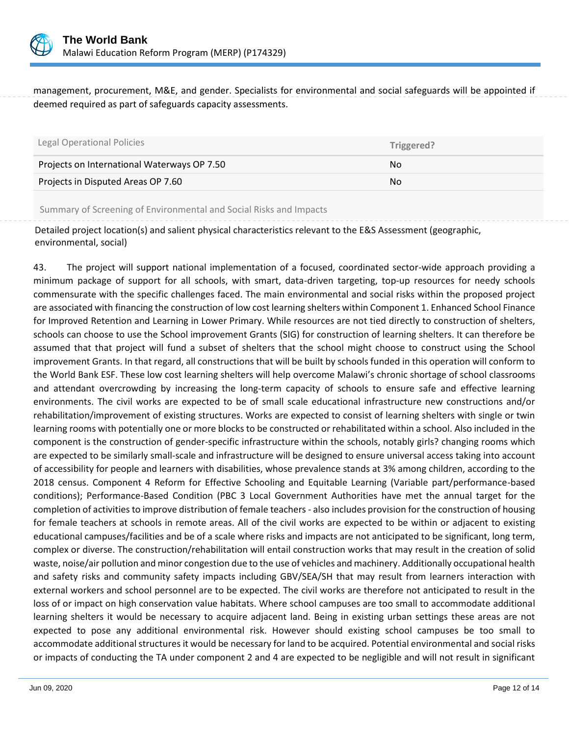

management, procurement, M&E, and gender. Specialists for environmental and social safeguards will be appointed if deemed required as part of safeguards capacity assessments.

| Legal Operational Policies                  | Triggered? |
|---------------------------------------------|------------|
| Projects on International Waterways OP 7.50 | No.        |
| Projects in Disputed Areas OP 7.60          | No.        |
|                                             |            |

Summary of Screening of Environmental and Social Risks and Impacts

Detailed project location(s) and salient physical characteristics relevant to the E&S Assessment (geographic, environmental, social)

43. The project will support national implementation of a focused, coordinated sector-wide approach providing a minimum package of support for all schools, with smart, data-driven targeting, top-up resources for needy schools commensurate with the specific challenges faced. The main environmental and social risks within the proposed project are associated with financing the construction of low cost learning shelters within Component 1. Enhanced School Finance for Improved Retention and Learning in Lower Primary. While resources are not tied directly to construction of shelters, schools can choose to use the School improvement Grants (SIG) for construction of learning shelters. It can therefore be assumed that that project will fund a subset of shelters that the school might choose to construct using the School improvement Grants. In that regard, all constructions that will be built by schools funded in this operation will conform to the World Bank ESF. These low cost learning shelters will help overcome Malawi's chronic shortage of school classrooms and attendant overcrowding by increasing the long-term capacity of schools to ensure safe and effective learning environments. The civil works are expected to be of small scale educational infrastructure new constructions and/or rehabilitation/improvement of existing structures. Works are expected to consist of learning shelters with single or twin learning rooms with potentially one or more blocks to be constructed or rehabilitated within a school. Also included in the component is the construction of gender-specific infrastructure within the schools, notably girls? changing rooms which are expected to be similarly small-scale and infrastructure will be designed to ensure universal access taking into account of accessibility for people and learners with disabilities, whose prevalence stands at 3% among children, according to the 2018 census. Component 4 Reform for Effective Schooling and Equitable Learning (Variable part/performance-based conditions); Performance-Based Condition (PBC 3 Local Government Authorities have met the annual target for the completion of activities to improve distribution of female teachers - also includes provision for the construction of housing for female teachers at schools in remote areas. All of the civil works are expected to be within or adjacent to existing educational campuses/facilities and be of a scale where risks and impacts are not anticipated to be significant, long term, complex or diverse. The construction/rehabilitation will entail construction works that may result in the creation of solid waste, noise/air pollution and minor congestion due to the use of vehicles and machinery. Additionally occupational health and safety risks and community safety impacts including GBV/SEA/SH that may result from learners interaction with external workers and school personnel are to be expected. The civil works are therefore not anticipated to result in the loss of or impact on high conservation value habitats. Where school campuses are too small to accommodate additional learning shelters it would be necessary to acquire adjacent land. Being in existing urban settings these areas are not expected to pose any additional environmental risk. However should existing school campuses be too small to accommodate additional structures it would be necessary for land to be acquired. Potential environmental and social risks or impacts of conducting the TA under component 2 and 4 are expected to be negligible and will not result in significant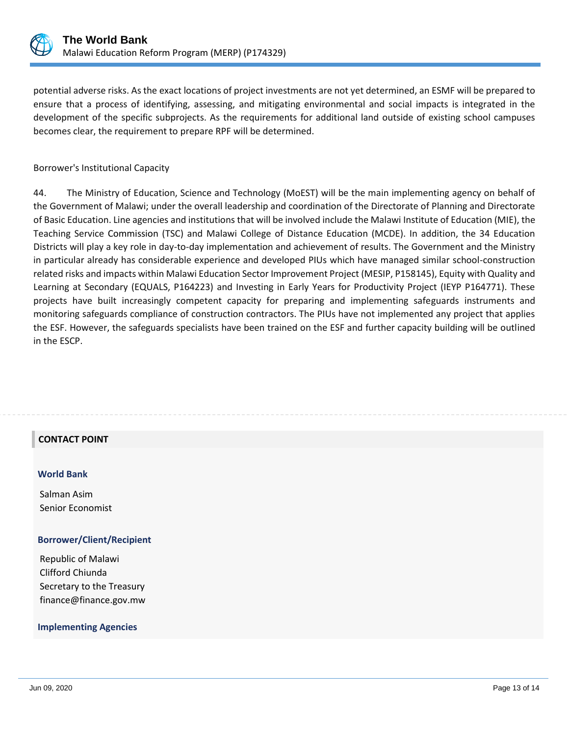

potential adverse risks. As the exact locations of project investments are not yet determined, an ESMF will be prepared to ensure that a process of identifying, assessing, and mitigating environmental and social impacts is integrated in the development of the specific subprojects. As the requirements for additional land outside of existing school campuses becomes clear, the requirement to prepare RPF will be determined.

Borrower's Institutional Capacity

44. The Ministry of Education, Science and Technology (MoEST) will be the main implementing agency on behalf of the Government of Malawi; under the overall leadership and coordination of the Directorate of Planning and Directorate of Basic Education. Line agencies and institutions that will be involved include the Malawi Institute of Education (MIE), the Teaching Service Commission (TSC) and Malawi College of Distance Education (MCDE). In addition, the 34 Education Districts will play a key role in day-to-day implementation and achievement of results. The Government and the Ministry in particular already has considerable experience and developed PIUs which have managed similar school-construction related risks and impacts within Malawi Education Sector Improvement Project (MESIP, P158145), Equity with Quality and Learning at Secondary (EQUALS, P164223) and Investing in Early Years for Productivity Project (IEYP P164771). These projects have built increasingly competent capacity for preparing and implementing safeguards instruments and monitoring safeguards compliance of construction contractors. The PIUs have not implemented any project that applies the ESF. However, the safeguards specialists have been trained on the ESF and further capacity building will be outlined in the ESCP.

### **CONTACT POINT**

#### **World Bank**

Salman Asim Senior Economist

### **Borrower/Client/Recipient**

Republic of Malawi Clifford Chiunda Secretary to the Treasury finance@finance.gov.mw

#### **Implementing Agencies**